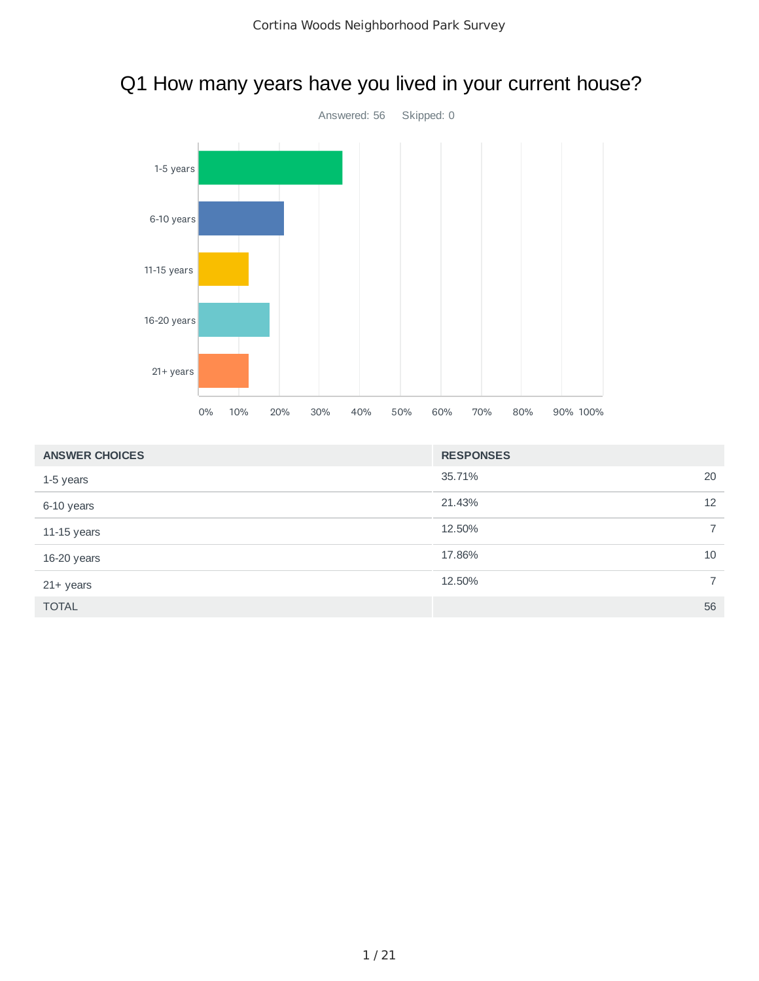# Q1 How many years have you lived in your current house?



| <b>ANSWER CHOICES</b> | <b>RESPONSES</b> |                |
|-----------------------|------------------|----------------|
| 1-5 years             | 35.71%           | 20             |
| 6-10 years            | 21.43%           | 12             |
| $11-15$ years         | 12.50%           | $\overline{7}$ |
| 16-20 years           | 17.86%           | 10             |
| $21+$ years           | 12.50%           | $\overline{7}$ |
| <b>TOTAL</b>          |                  | 56             |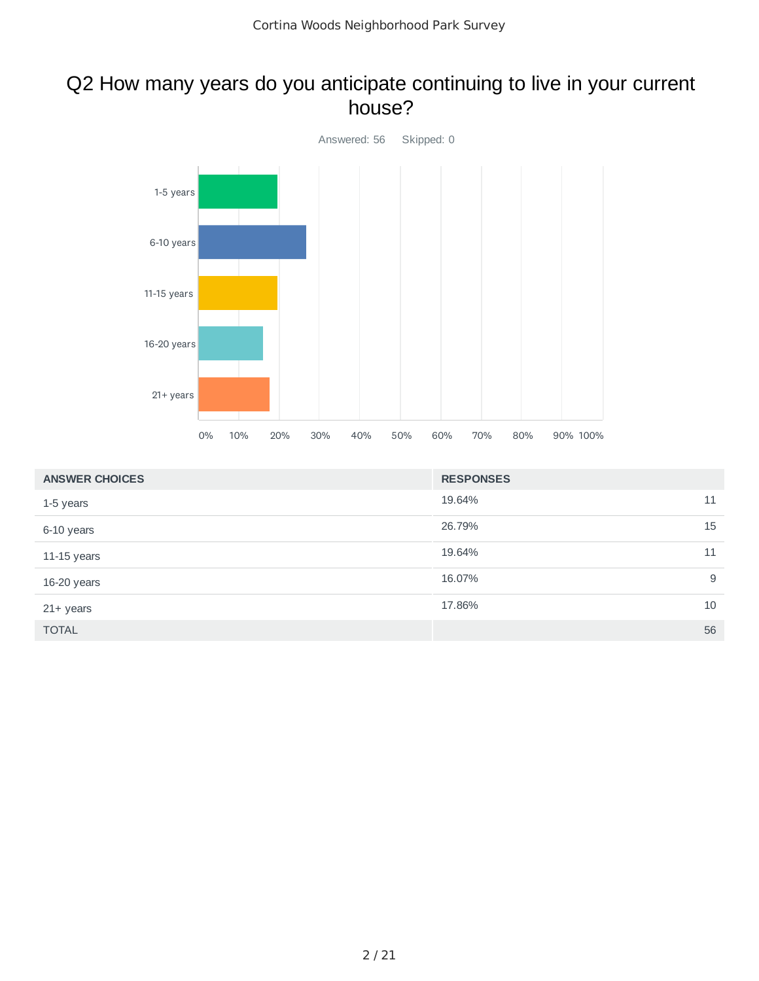### Q2 How many years do you anticipate continuing to live in your current house?



| <b>ANSWER CHOICES</b> | <b>RESPONSES</b> |    |
|-----------------------|------------------|----|
| 1-5 years             | 19.64%           | 11 |
| 6-10 years            | 26.79%           | 15 |
| $11-15$ years         | 19.64%           | 11 |
| 16-20 years           | 16.07%           | 9  |
| $21+$ years           | 17.86%           | 10 |
| <b>TOTAL</b>          |                  | 56 |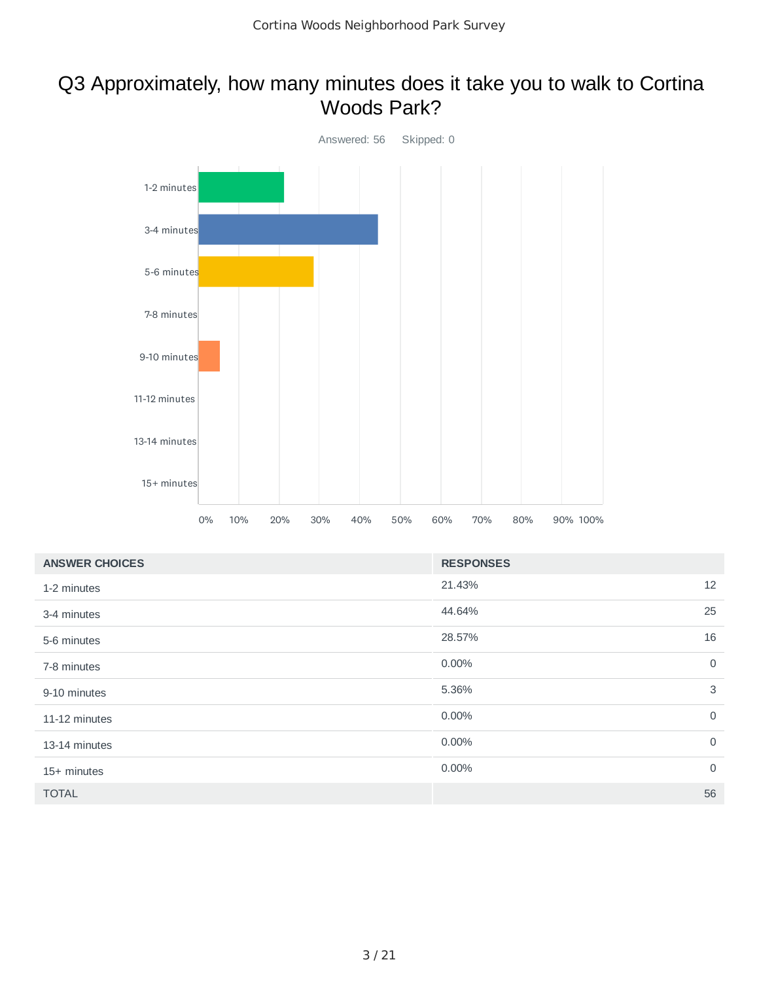### Q3 Approximately, how many minutes does it take you to walk to Cortina Woods Park?



| <b>ANSWER CHOICES</b> | <b>RESPONSES</b> |             |
|-----------------------|------------------|-------------|
| 1-2 minutes           | 21.43%           | 12          |
| 3-4 minutes           | 44.64%           | 25          |
| 5-6 minutes           | 28.57%           | 16          |
| 7-8 minutes           | 0.00%            | $\mathbf 0$ |
| 9-10 minutes          | 5.36%            | 3           |
| 11-12 minutes         | 0.00%            | $\mathbf 0$ |
| 13-14 minutes         | 0.00%            | $\mathbf 0$ |
| 15+ minutes           | 0.00%            | $\mathbf 0$ |
| <b>TOTAL</b>          |                  | 56          |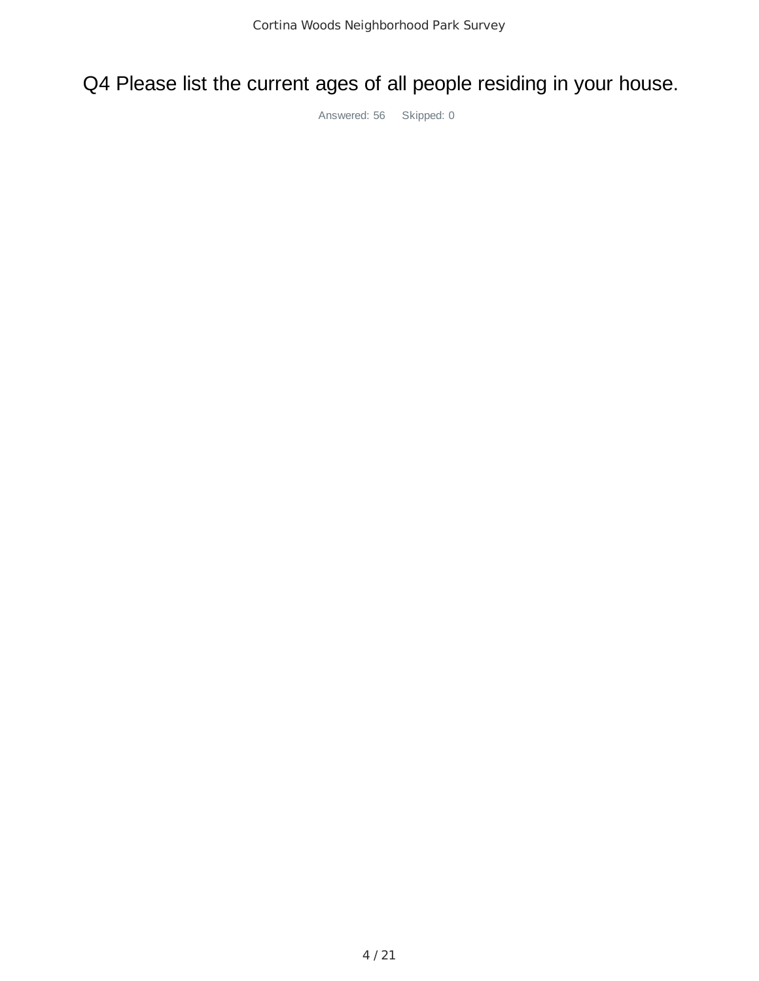Q4 Please list the current ages of all people residing in your house.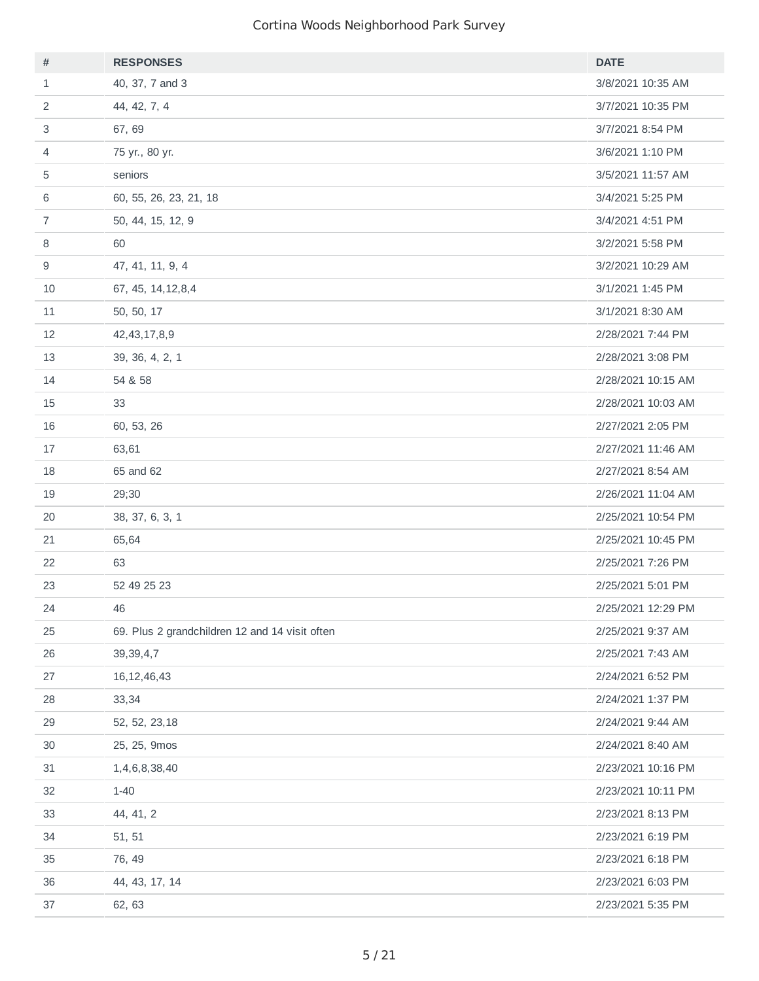| #              | <b>RESPONSES</b>                               | <b>DATE</b>        |
|----------------|------------------------------------------------|--------------------|
| $\mathbf{1}$   | 40, 37, 7 and 3                                | 3/8/2021 10:35 AM  |
| 2              | 44, 42, 7, 4                                   | 3/7/2021 10:35 PM  |
| 3              | 67, 69                                         | 3/7/2021 8:54 PM   |
| 4              | 75 yr., 80 yr.                                 | 3/6/2021 1:10 PM   |
| 5              | seniors                                        | 3/5/2021 11:57 AM  |
| 6              | 60, 55, 26, 23, 21, 18                         | 3/4/2021 5:25 PM   |
| $\overline{7}$ | 50, 44, 15, 12, 9                              | 3/4/2021 4:51 PM   |
| 8              | 60                                             | 3/2/2021 5:58 PM   |
| 9              | 47, 41, 11, 9, 4                               | 3/2/2021 10:29 AM  |
| 10             | 67, 45, 14, 12, 8, 4                           | 3/1/2021 1:45 PM   |
| 11             | 50, 50, 17                                     | 3/1/2021 8:30 AM   |
| 12             | 42, 43, 17, 8, 9                               | 2/28/2021 7:44 PM  |
| 13             | 39, 36, 4, 2, 1                                | 2/28/2021 3:08 PM  |
| 14             | 54 & 58                                        | 2/28/2021 10:15 AM |
| 15             | 33                                             | 2/28/2021 10:03 AM |
| 16             | 60, 53, 26                                     | 2/27/2021 2:05 PM  |
| 17             | 63,61                                          | 2/27/2021 11:46 AM |
| 18             | 65 and 62                                      | 2/27/2021 8:54 AM  |
| 19             | 29;30                                          | 2/26/2021 11:04 AM |
| 20             | 38, 37, 6, 3, 1                                | 2/25/2021 10:54 PM |
| 21             | 65,64                                          | 2/25/2021 10:45 PM |
| 22             | 63                                             | 2/25/2021 7:26 PM  |
| 23             | 52 49 25 23                                    | 2/25/2021 5:01 PM  |
| 24             | 46                                             | 2/25/2021 12:29 PM |
| 25             | 69. Plus 2 grandchildren 12 and 14 visit often | 2/25/2021 9:37 AM  |
| 26             | 39, 39, 4, 7                                   | 2/25/2021 7:43 AM  |
| 27             | 16, 12, 46, 43                                 | 2/24/2021 6:52 PM  |
| 28             | 33,34                                          | 2/24/2021 1:37 PM  |
| 29             | 52, 52, 23, 18                                 | 2/24/2021 9:44 AM  |
| 30             | 25, 25, 9mos                                   | 2/24/2021 8:40 AM  |
| 31             | 1,4,6,8,38,40                                  | 2/23/2021 10:16 PM |
| 32             | $1 - 40$                                       | 2/23/2021 10:11 PM |
| 33             | 44, 41, 2                                      | 2/23/2021 8:13 PM  |
| 34             | 51, 51                                         | 2/23/2021 6:19 PM  |
| 35             | 76, 49                                         | 2/23/2021 6:18 PM  |
| 36             | 44, 43, 17, 14                                 | 2/23/2021 6:03 PM  |
| 37             | 62, 63                                         | 2/23/2021 5:35 PM  |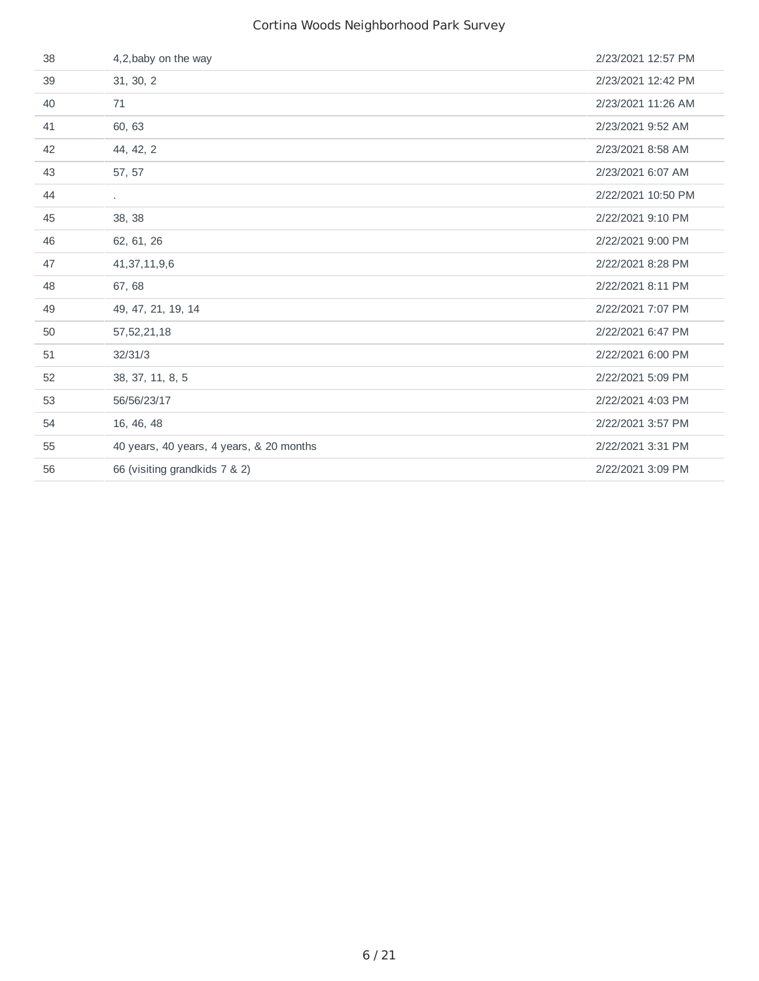| 38 | 4,2, baby on the way                     | 2/23/2021 12:57 PM |
|----|------------------------------------------|--------------------|
| 39 | 31, 30, 2                                | 2/23/2021 12:42 PM |
| 40 | 71                                       | 2/23/2021 11:26 AM |
| 41 | 60, 63                                   | 2/23/2021 9:52 AM  |
| 42 | 44, 42, 2                                | 2/23/2021 8:58 AM  |
| 43 | 57, 57                                   | 2/23/2021 6:07 AM  |
| 44 | $\sim$                                   | 2/22/2021 10:50 PM |
| 45 | 38, 38                                   | 2/22/2021 9:10 PM  |
| 46 | 62, 61, 26                               | 2/22/2021 9:00 PM  |
| 47 | 41, 37, 11, 9, 6                         | 2/22/2021 8:28 PM  |
| 48 | 67,68                                    | 2/22/2021 8:11 PM  |
| 49 | 49, 47, 21, 19, 14                       | 2/22/2021 7:07 PM  |
| 50 | 57, 52, 21, 18                           | 2/22/2021 6:47 PM  |
| 51 | 32/31/3                                  | 2/22/2021 6:00 PM  |
| 52 | 38, 37, 11, 8, 5                         | 2/22/2021 5:09 PM  |
| 53 | 56/56/23/17                              | 2/22/2021 4:03 PM  |
| 54 | 16, 46, 48                               | 2/22/2021 3:57 PM  |
| 55 | 40 years, 40 years, 4 years, & 20 months | 2/22/2021 3:31 PM  |
| 56 | 66 (visiting grandkids 7 & 2)            | 2/22/2021 3:09 PM  |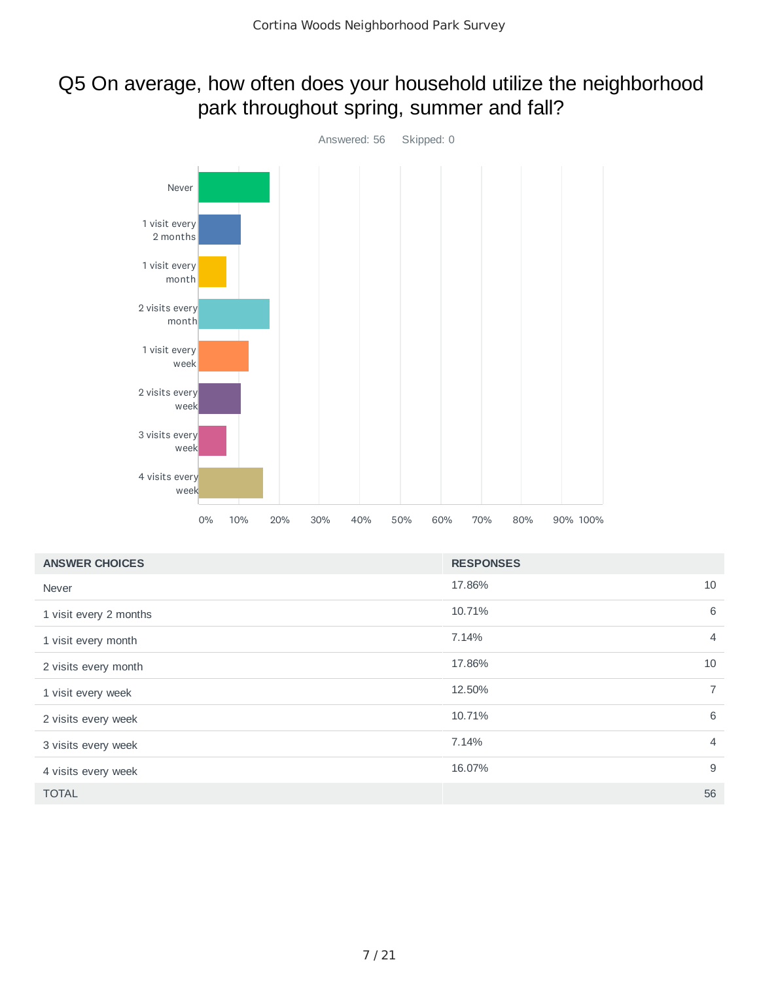## Q5 On average, how often does your household utilize the neighborhood park throughout spring, summer and fall?



| <b>ANSWER CHOICES</b>  | <b>RESPONSES</b>         |
|------------------------|--------------------------|
| Never                  | 10<br>17.86%             |
| 1 visit every 2 months | 6<br>10.71%              |
| 1 visit every month    | 7.14%<br>$\overline{4}$  |
| 2 visits every month   | 17.86%<br>10             |
| 1 visit every week     | $\overline{7}$<br>12.50% |
| 2 visits every week    | 6<br>10.71%              |
| 3 visits every week    | 7.14%<br>$\overline{4}$  |
| 4 visits every week    | 9<br>16.07%              |
| <b>TOTAL</b>           | 56                       |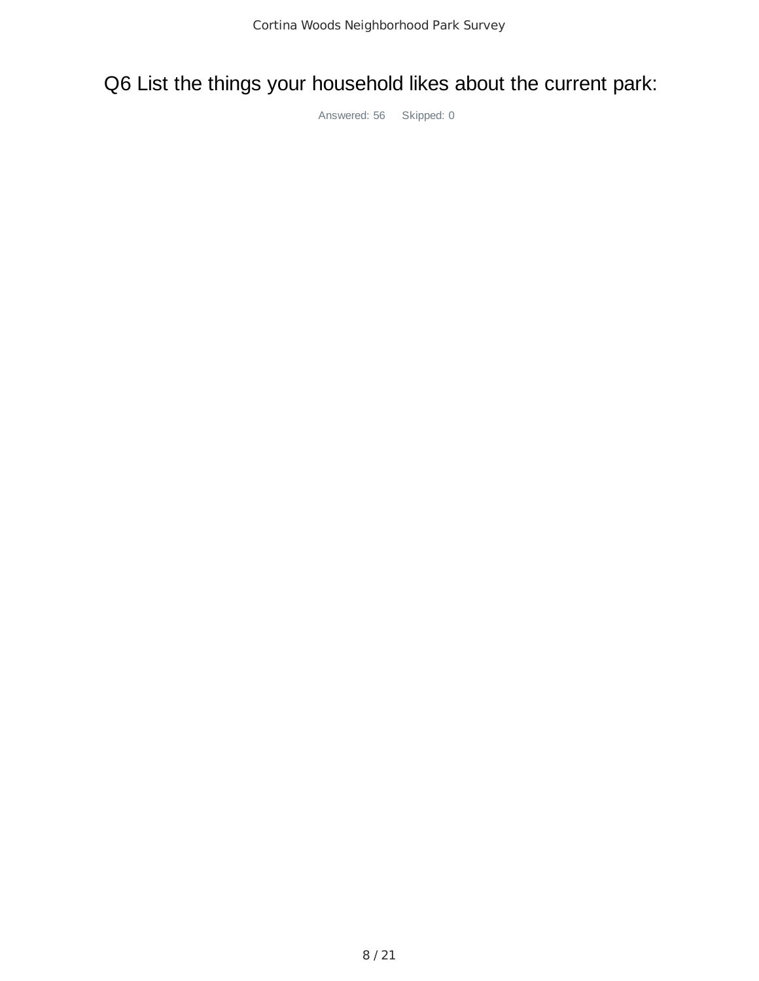Q6 List the things your household likes about the current park: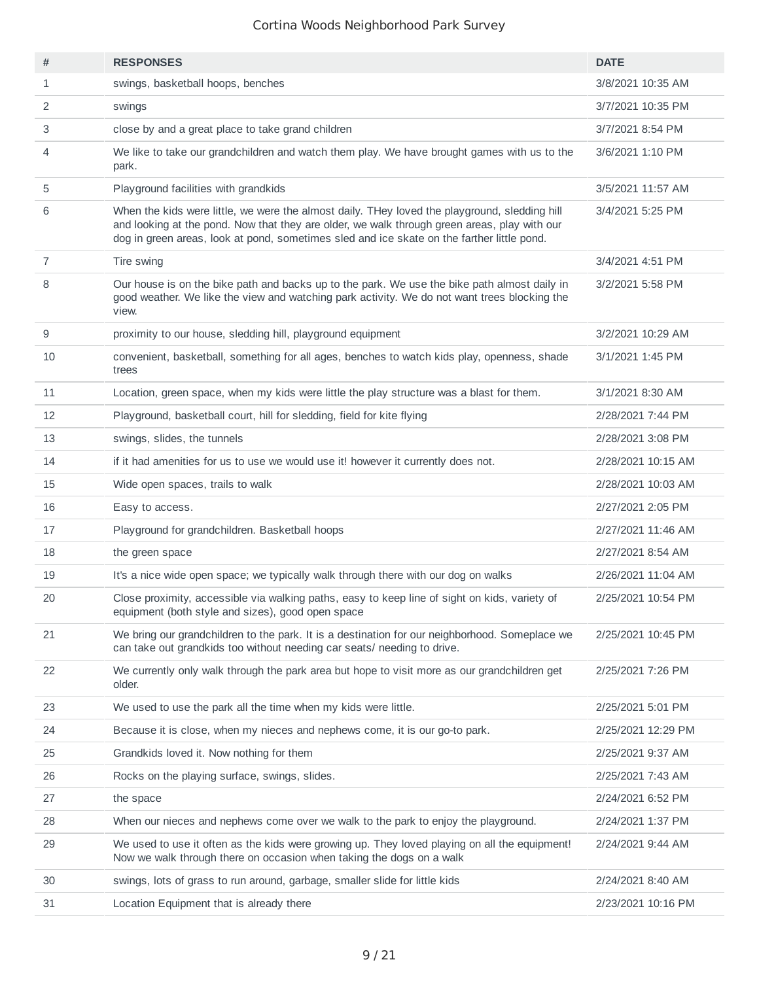| #  | <b>RESPONSES</b>                                                                                                                                                                                                                                                                            | <b>DATE</b>        |
|----|---------------------------------------------------------------------------------------------------------------------------------------------------------------------------------------------------------------------------------------------------------------------------------------------|--------------------|
| 1  | swings, basketball hoops, benches                                                                                                                                                                                                                                                           | 3/8/2021 10:35 AM  |
| 2  | swings                                                                                                                                                                                                                                                                                      | 3/7/2021 10:35 PM  |
| 3  | close by and a great place to take grand children                                                                                                                                                                                                                                           | 3/7/2021 8:54 PM   |
| 4  | We like to take our grandchildren and watch them play. We have brought games with us to the<br>park.                                                                                                                                                                                        | 3/6/2021 1:10 PM   |
| 5  | Playground facilities with grandkids                                                                                                                                                                                                                                                        | 3/5/2021 11:57 AM  |
| 6  | When the kids were little, we were the almost daily. THey loved the playground, sledding hill<br>and looking at the pond. Now that they are older, we walk through green areas, play with our<br>dog in green areas, look at pond, sometimes sled and ice skate on the farther little pond. | 3/4/2021 5:25 PM   |
| 7  | Tire swing                                                                                                                                                                                                                                                                                  | 3/4/2021 4:51 PM   |
| 8  | Our house is on the bike path and backs up to the park. We use the bike path almost daily in<br>good weather. We like the view and watching park activity. We do not want trees blocking the<br>view.                                                                                       | 3/2/2021 5:58 PM   |
| 9  | proximity to our house, sledding hill, playground equipment                                                                                                                                                                                                                                 | 3/2/2021 10:29 AM  |
| 10 | convenient, basketball, something for all ages, benches to watch kids play, openness, shade<br>trees                                                                                                                                                                                        | 3/1/2021 1:45 PM   |
| 11 | Location, green space, when my kids were little the play structure was a blast for them.                                                                                                                                                                                                    | 3/1/2021 8:30 AM   |
| 12 | Playground, basketball court, hill for sledding, field for kite flying                                                                                                                                                                                                                      | 2/28/2021 7:44 PM  |
| 13 | swings, slides, the tunnels                                                                                                                                                                                                                                                                 | 2/28/2021 3:08 PM  |
| 14 | if it had amenities for us to use we would use it! however it currently does not.                                                                                                                                                                                                           | 2/28/2021 10:15 AM |
| 15 | Wide open spaces, trails to walk                                                                                                                                                                                                                                                            | 2/28/2021 10:03 AM |
| 16 | Easy to access.                                                                                                                                                                                                                                                                             | 2/27/2021 2:05 PM  |
| 17 | Playground for grandchildren. Basketball hoops                                                                                                                                                                                                                                              | 2/27/2021 11:46 AM |
| 18 | the green space                                                                                                                                                                                                                                                                             | 2/27/2021 8:54 AM  |
| 19 | It's a nice wide open space; we typically walk through there with our dog on walks                                                                                                                                                                                                          | 2/26/2021 11:04 AM |
| 20 | Close proximity, accessible via walking paths, easy to keep line of sight on kids, variety of<br>equipment (both style and sizes), good open space                                                                                                                                          | 2/25/2021 10:54 PM |
| 21 | We bring our grandchildren to the park. It is a destination for our neighborhood. Someplace we<br>can take out grandkids too without needing car seats/ needing to drive.                                                                                                                   | 2/25/2021 10:45 PM |
| 22 | We currently only walk through the park area but hope to visit more as our grandchildren get<br>older.                                                                                                                                                                                      | 2/25/2021 7:26 PM  |
| 23 | We used to use the park all the time when my kids were little.                                                                                                                                                                                                                              | 2/25/2021 5:01 PM  |
| 24 | Because it is close, when my nieces and nephews come, it is our go-to park.                                                                                                                                                                                                                 | 2/25/2021 12:29 PM |
| 25 | Grandkids loved it. Now nothing for them                                                                                                                                                                                                                                                    | 2/25/2021 9:37 AM  |
| 26 | Rocks on the playing surface, swings, slides.                                                                                                                                                                                                                                               | 2/25/2021 7:43 AM  |
| 27 | the space                                                                                                                                                                                                                                                                                   | 2/24/2021 6:52 PM  |
| 28 | When our nieces and nephews come over we walk to the park to enjoy the playground.                                                                                                                                                                                                          | 2/24/2021 1:37 PM  |
| 29 | We used to use it often as the kids were growing up. They loved playing on all the equipment!<br>Now we walk through there on occasion when taking the dogs on a walk                                                                                                                       | 2/24/2021 9:44 AM  |
| 30 | swings, lots of grass to run around, garbage, smaller slide for little kids                                                                                                                                                                                                                 | 2/24/2021 8:40 AM  |
| 31 | Location Equipment that is already there                                                                                                                                                                                                                                                    | 2/23/2021 10:16 PM |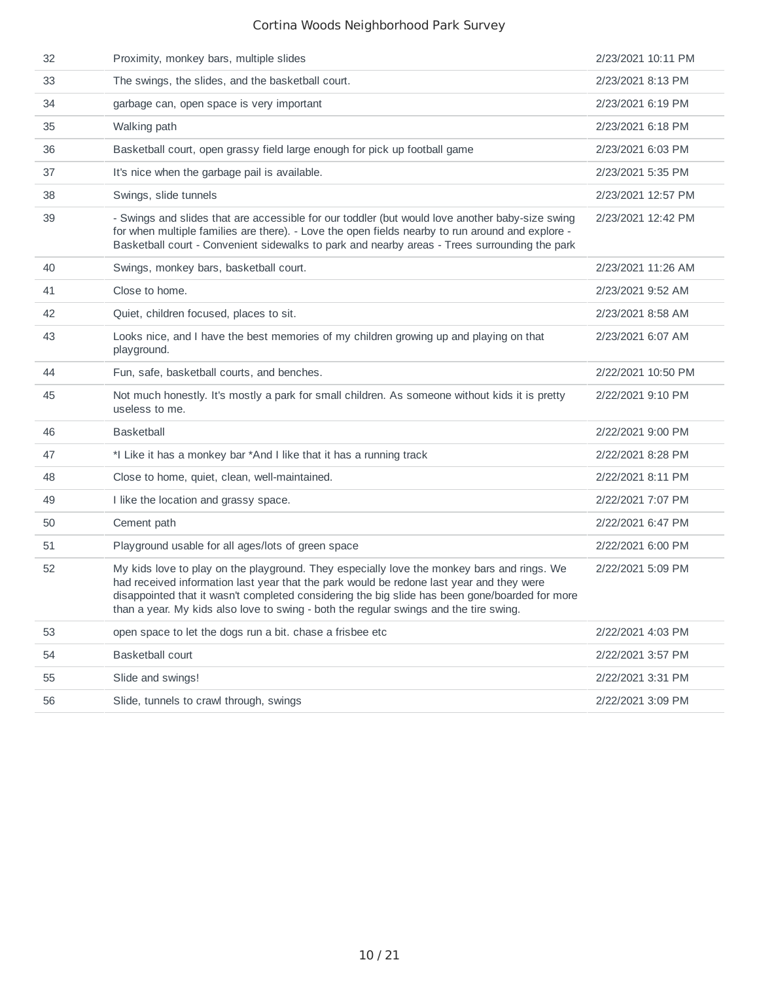| 32 | Proximity, monkey bars, multiple slides                                                                                                                                                                                                                                                                                                                                           | 2/23/2021 10:11 PM |
|----|-----------------------------------------------------------------------------------------------------------------------------------------------------------------------------------------------------------------------------------------------------------------------------------------------------------------------------------------------------------------------------------|--------------------|
| 33 | The swings, the slides, and the basketball court.                                                                                                                                                                                                                                                                                                                                 | 2/23/2021 8:13 PM  |
| 34 | garbage can, open space is very important                                                                                                                                                                                                                                                                                                                                         | 2/23/2021 6:19 PM  |
| 35 | Walking path                                                                                                                                                                                                                                                                                                                                                                      | 2/23/2021 6:18 PM  |
| 36 | Basketball court, open grassy field large enough for pick up football game                                                                                                                                                                                                                                                                                                        | 2/23/2021 6:03 PM  |
| 37 | It's nice when the garbage pail is available.                                                                                                                                                                                                                                                                                                                                     | 2/23/2021 5:35 PM  |
| 38 | Swings, slide tunnels                                                                                                                                                                                                                                                                                                                                                             | 2/23/2021 12:57 PM |
| 39 | - Swings and slides that are accessible for our toddler (but would love another baby-size swing<br>for when multiple families are there). - Love the open fields nearby to run around and explore -<br>Basketball court - Convenient sidewalks to park and nearby areas - Trees surrounding the park                                                                              | 2/23/2021 12:42 PM |
| 40 | Swings, monkey bars, basketball court.                                                                                                                                                                                                                                                                                                                                            | 2/23/2021 11:26 AM |
| 41 | Close to home.                                                                                                                                                                                                                                                                                                                                                                    | 2/23/2021 9:52 AM  |
| 42 | Quiet, children focused, places to sit.                                                                                                                                                                                                                                                                                                                                           | 2/23/2021 8:58 AM  |
| 43 | Looks nice, and I have the best memories of my children growing up and playing on that<br>playground.                                                                                                                                                                                                                                                                             | 2/23/2021 6:07 AM  |
| 44 | Fun, safe, basketball courts, and benches.                                                                                                                                                                                                                                                                                                                                        | 2/22/2021 10:50 PM |
| 45 | Not much honestly. It's mostly a park for small children. As someone without kids it is pretty<br>useless to me.                                                                                                                                                                                                                                                                  | 2/22/2021 9:10 PM  |
| 46 | <b>Basketball</b>                                                                                                                                                                                                                                                                                                                                                                 | 2/22/2021 9:00 PM  |
| 47 | *I Like it has a monkey bar *And I like that it has a running track                                                                                                                                                                                                                                                                                                               | 2/22/2021 8:28 PM  |
| 48 | Close to home, quiet, clean, well-maintained.                                                                                                                                                                                                                                                                                                                                     | 2/22/2021 8:11 PM  |
| 49 | I like the location and grassy space.                                                                                                                                                                                                                                                                                                                                             | 2/22/2021 7:07 PM  |
| 50 | Cement path                                                                                                                                                                                                                                                                                                                                                                       | 2/22/2021 6:47 PM  |
| 51 | Playground usable for all ages/lots of green space                                                                                                                                                                                                                                                                                                                                | 2/22/2021 6:00 PM  |
| 52 | My kids love to play on the playground. They especially love the monkey bars and rings. We<br>had received information last year that the park would be redone last year and they were<br>disappointed that it wasn't completed considering the big slide has been gone/boarded for more<br>than a year. My kids also love to swing - both the regular swings and the tire swing. | 2/22/2021 5:09 PM  |
| 53 | open space to let the dogs run a bit. chase a frisbee etc                                                                                                                                                                                                                                                                                                                         | 2/22/2021 4:03 PM  |
| 54 | <b>Basketball court</b>                                                                                                                                                                                                                                                                                                                                                           | 2/22/2021 3:57 PM  |
| 55 | Slide and swings!                                                                                                                                                                                                                                                                                                                                                                 | 2/22/2021 3:31 PM  |
| 56 | Slide, tunnels to crawl through, swings                                                                                                                                                                                                                                                                                                                                           | 2/22/2021 3:09 PM  |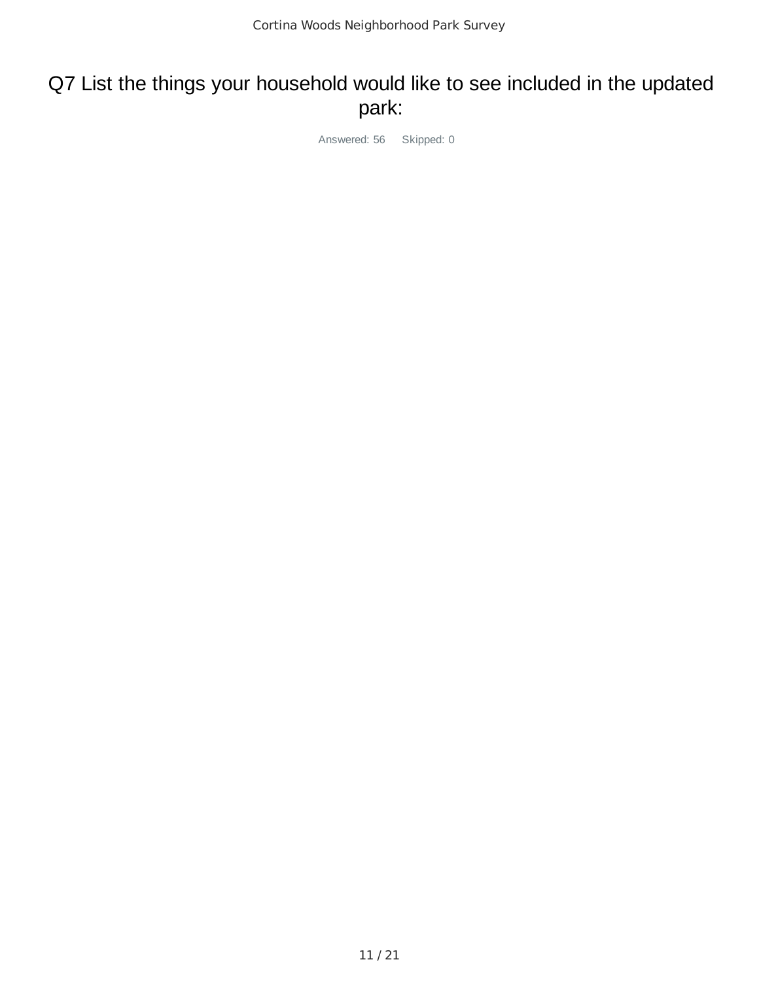# Q7 List the things your household would like to see included in the updated park: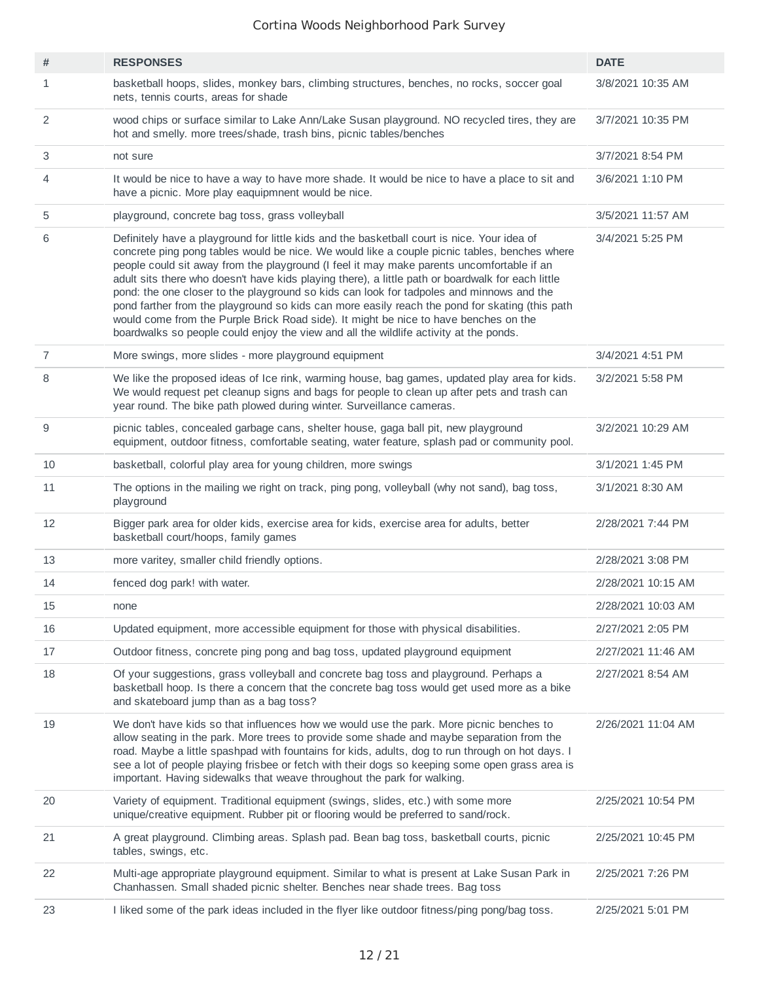| #              | <b>RESPONSES</b>                                                                                                                                                                                                                                                                                                                                                                                                                                                                                                                                                                                                                                                                                                                                                             | <b>DATE</b>        |
|----------------|------------------------------------------------------------------------------------------------------------------------------------------------------------------------------------------------------------------------------------------------------------------------------------------------------------------------------------------------------------------------------------------------------------------------------------------------------------------------------------------------------------------------------------------------------------------------------------------------------------------------------------------------------------------------------------------------------------------------------------------------------------------------------|--------------------|
| 1              | basketball hoops, slides, monkey bars, climbing structures, benches, no rocks, soccer goal<br>nets, tennis courts, areas for shade                                                                                                                                                                                                                                                                                                                                                                                                                                                                                                                                                                                                                                           | 3/8/2021 10:35 AM  |
| 2              | wood chips or surface similar to Lake Ann/Lake Susan playground. NO recycled tires, they are<br>hot and smelly. more trees/shade, trash bins, picnic tables/benches                                                                                                                                                                                                                                                                                                                                                                                                                                                                                                                                                                                                          | 3/7/2021 10:35 PM  |
| 3              | not sure                                                                                                                                                                                                                                                                                                                                                                                                                                                                                                                                                                                                                                                                                                                                                                     | 3/7/2021 8:54 PM   |
| 4              | It would be nice to have a way to have more shade. It would be nice to have a place to sit and<br>have a picnic. More play eaquipmnent would be nice.                                                                                                                                                                                                                                                                                                                                                                                                                                                                                                                                                                                                                        | 3/6/2021 1:10 PM   |
| 5              | playground, concrete bag toss, grass volleyball                                                                                                                                                                                                                                                                                                                                                                                                                                                                                                                                                                                                                                                                                                                              | 3/5/2021 11:57 AM  |
| 6              | Definitely have a playground for little kids and the basketball court is nice. Your idea of<br>concrete ping pong tables would be nice. We would like a couple picnic tables, benches where<br>people could sit away from the playground (I feel it may make parents uncomfortable if an<br>adult sits there who doesn't have kids playing there), a little path or boardwalk for each little<br>pond: the one closer to the playground so kids can look for tadpoles and minnows and the<br>pond farther from the playground so kids can more easily reach the pond for skating (this path<br>would come from the Purple Brick Road side). It might be nice to have benches on the<br>boardwalks so people could enjoy the view and all the wildlife activity at the ponds. | 3/4/2021 5:25 PM   |
| $\overline{7}$ | More swings, more slides - more playground equipment                                                                                                                                                                                                                                                                                                                                                                                                                                                                                                                                                                                                                                                                                                                         | 3/4/2021 4:51 PM   |
| 8              | We like the proposed ideas of Ice rink, warming house, bag games, updated play area for kids.<br>We would request pet cleanup signs and bags for people to clean up after pets and trash can<br>year round. The bike path plowed during winter. Surveillance cameras.                                                                                                                                                                                                                                                                                                                                                                                                                                                                                                        | 3/2/2021 5:58 PM   |
| 9              | picnic tables, concealed garbage cans, shelter house, gaga ball pit, new playground<br>equipment, outdoor fitness, comfortable seating, water feature, splash pad or community pool.                                                                                                                                                                                                                                                                                                                                                                                                                                                                                                                                                                                         | 3/2/2021 10:29 AM  |
| 10             | basketball, colorful play area for young children, more swings                                                                                                                                                                                                                                                                                                                                                                                                                                                                                                                                                                                                                                                                                                               | 3/1/2021 1:45 PM   |
| 11             | The options in the mailing we right on track, ping pong, volleyball (why not sand), bag toss,<br>playground                                                                                                                                                                                                                                                                                                                                                                                                                                                                                                                                                                                                                                                                  | 3/1/2021 8:30 AM   |
| 12             | Bigger park area for older kids, exercise area for kids, exercise area for adults, better<br>basketball court/hoops, family games                                                                                                                                                                                                                                                                                                                                                                                                                                                                                                                                                                                                                                            | 2/28/2021 7:44 PM  |
| 13             | more varitey, smaller child friendly options.                                                                                                                                                                                                                                                                                                                                                                                                                                                                                                                                                                                                                                                                                                                                | 2/28/2021 3:08 PM  |
| 14             | fenced dog park! with water.                                                                                                                                                                                                                                                                                                                                                                                                                                                                                                                                                                                                                                                                                                                                                 | 2/28/2021 10:15 AM |
| 15             | none                                                                                                                                                                                                                                                                                                                                                                                                                                                                                                                                                                                                                                                                                                                                                                         | 2/28/2021 10:03 AM |
| 16             | Updated equipment, more accessible equipment for those with physical disabilities.                                                                                                                                                                                                                                                                                                                                                                                                                                                                                                                                                                                                                                                                                           | 2/27/2021 2:05 PM  |
| 17             | Outdoor fitness, concrete ping pong and bag toss, updated playground equipment                                                                                                                                                                                                                                                                                                                                                                                                                                                                                                                                                                                                                                                                                               | 2/27/2021 11:46 AM |
| 18             | Of your suggestions, grass volleyball and concrete bag toss and playground. Perhaps a<br>basketball hoop. Is there a concern that the concrete bag toss would get used more as a bike<br>and skateboard jump than as a bag toss?                                                                                                                                                                                                                                                                                                                                                                                                                                                                                                                                             | 2/27/2021 8:54 AM  |
| 19             | We don't have kids so that influences how we would use the park. More picnic benches to<br>allow seating in the park. More trees to provide some shade and maybe separation from the<br>road. Maybe a little spashpad with fountains for kids, adults, dog to run through on hot days. I<br>see a lot of people playing frisbee or fetch with their dogs so keeping some open grass area is<br>important. Having sidewalks that weave throughout the park for walking.                                                                                                                                                                                                                                                                                                       | 2/26/2021 11:04 AM |
| 20             | Variety of equipment. Traditional equipment (swings, slides, etc.) with some more<br>unique/creative equipment. Rubber pit or flooring would be preferred to sand/rock.                                                                                                                                                                                                                                                                                                                                                                                                                                                                                                                                                                                                      | 2/25/2021 10:54 PM |
| 21             | A great playground. Climbing areas. Splash pad. Bean bag toss, basketball courts, picnic<br>tables, swings, etc.                                                                                                                                                                                                                                                                                                                                                                                                                                                                                                                                                                                                                                                             | 2/25/2021 10:45 PM |
| 22             | Multi-age appropriate playground equipment. Similar to what is present at Lake Susan Park in<br>Chanhassen. Small shaded picnic shelter. Benches near shade trees. Bag toss                                                                                                                                                                                                                                                                                                                                                                                                                                                                                                                                                                                                  | 2/25/2021 7:26 PM  |
| 23             | I liked some of the park ideas included in the flyer like outdoor fitness/ping pong/bag toss.                                                                                                                                                                                                                                                                                                                                                                                                                                                                                                                                                                                                                                                                                | 2/25/2021 5:01 PM  |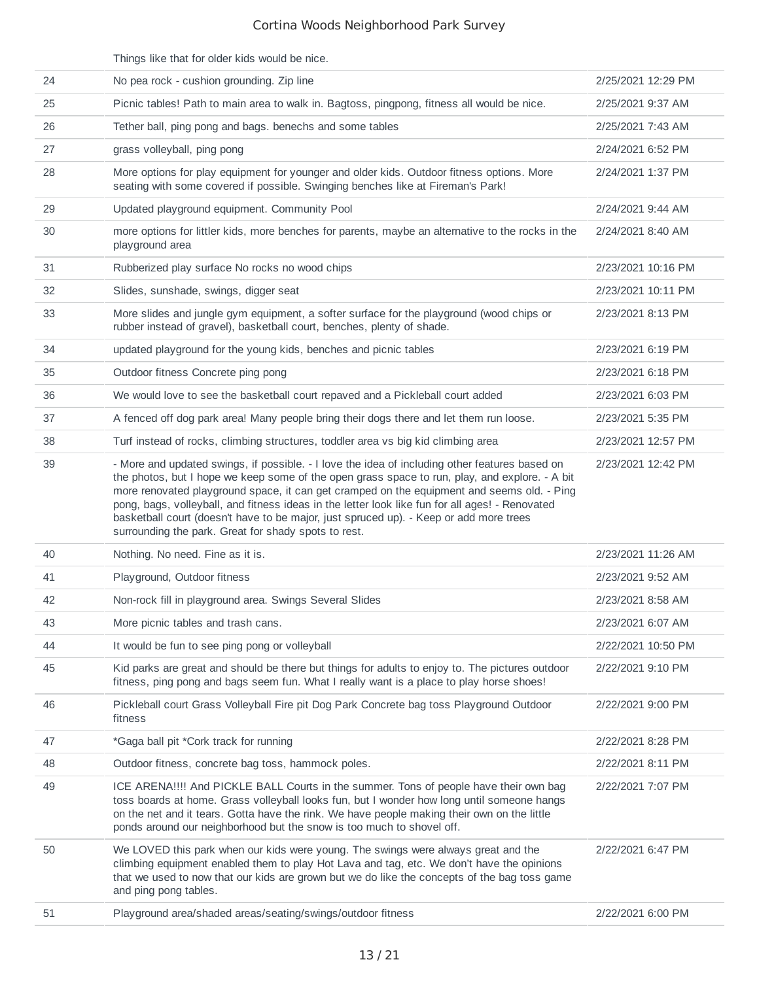|    | Things like that for older kids would be nice.                                                                                                                                                                                                                                                                                                                                                                                                                                                                                                      |                    |
|----|-----------------------------------------------------------------------------------------------------------------------------------------------------------------------------------------------------------------------------------------------------------------------------------------------------------------------------------------------------------------------------------------------------------------------------------------------------------------------------------------------------------------------------------------------------|--------------------|
| 24 | No pea rock - cushion grounding. Zip line                                                                                                                                                                                                                                                                                                                                                                                                                                                                                                           | 2/25/2021 12:29 PM |
| 25 | Picnic tables! Path to main area to walk in. Bagtoss, pingpong, fitness all would be nice.                                                                                                                                                                                                                                                                                                                                                                                                                                                          | 2/25/2021 9:37 AM  |
| 26 | Tether ball, ping pong and bags. benechs and some tables                                                                                                                                                                                                                                                                                                                                                                                                                                                                                            | 2/25/2021 7:43 AM  |
| 27 | grass volleyball, ping pong                                                                                                                                                                                                                                                                                                                                                                                                                                                                                                                         | 2/24/2021 6:52 PM  |
| 28 | More options for play equipment for younger and older kids. Outdoor fitness options. More<br>seating with some covered if possible. Swinging benches like at Fireman's Park!                                                                                                                                                                                                                                                                                                                                                                        | 2/24/2021 1:37 PM  |
| 29 | Updated playground equipment. Community Pool                                                                                                                                                                                                                                                                                                                                                                                                                                                                                                        | 2/24/2021 9:44 AM  |
| 30 | more options for littler kids, more benches for parents, maybe an alternative to the rocks in the<br>playground area                                                                                                                                                                                                                                                                                                                                                                                                                                | 2/24/2021 8:40 AM  |
| 31 | Rubberized play surface No rocks no wood chips                                                                                                                                                                                                                                                                                                                                                                                                                                                                                                      | 2/23/2021 10:16 PM |
| 32 | Slides, sunshade, swings, digger seat                                                                                                                                                                                                                                                                                                                                                                                                                                                                                                               | 2/23/2021 10:11 PM |
| 33 | More slides and jungle gym equipment, a softer surface for the playground (wood chips or<br>rubber instead of gravel), basketball court, benches, plenty of shade.                                                                                                                                                                                                                                                                                                                                                                                  | 2/23/2021 8:13 PM  |
| 34 | updated playground for the young kids, benches and picnic tables                                                                                                                                                                                                                                                                                                                                                                                                                                                                                    | 2/23/2021 6:19 PM  |
| 35 | Outdoor fitness Concrete ping pong                                                                                                                                                                                                                                                                                                                                                                                                                                                                                                                  | 2/23/2021 6:18 PM  |
| 36 | We would love to see the basketball court repaved and a Pickleball court added                                                                                                                                                                                                                                                                                                                                                                                                                                                                      | 2/23/2021 6:03 PM  |
| 37 | A fenced off dog park area! Many people bring their dogs there and let them run loose.                                                                                                                                                                                                                                                                                                                                                                                                                                                              | 2/23/2021 5:35 PM  |
| 38 | Turf instead of rocks, climbing structures, toddler area vs big kid climbing area                                                                                                                                                                                                                                                                                                                                                                                                                                                                   | 2/23/2021 12:57 PM |
| 39 | - More and updated swings, if possible. - I love the idea of including other features based on<br>the photos, but I hope we keep some of the open grass space to run, play, and explore. - A bit<br>more renovated playground space, it can get cramped on the equipment and seems old. - Ping<br>pong, bags, volleyball, and fitness ideas in the letter look like fun for all ages! - Renovated<br>basketball court (doesn't have to be major, just spruced up). - Keep or add more trees<br>surrounding the park. Great for shady spots to rest. | 2/23/2021 12:42 PM |
| 40 | Nothing. No need. Fine as it is.                                                                                                                                                                                                                                                                                                                                                                                                                                                                                                                    | 2/23/2021 11:26 AM |
| 41 | Playground, Outdoor fitness                                                                                                                                                                                                                                                                                                                                                                                                                                                                                                                         | 2/23/2021 9:52 AM  |
| 42 | Non-rock fill in playground area. Swings Several Slides                                                                                                                                                                                                                                                                                                                                                                                                                                                                                             | 2/23/2021 8:58 AM  |
| 43 | More picnic tables and trash cans.                                                                                                                                                                                                                                                                                                                                                                                                                                                                                                                  | 2/23/2021 6:07 AM  |
| 44 | It would be fun to see ping pong or volleyball                                                                                                                                                                                                                                                                                                                                                                                                                                                                                                      | 2/22/2021 10:50 PM |
| 45 | Kid parks are great and should be there but things for adults to enjoy to. The pictures outdoor<br>fitness, ping pong and bags seem fun. What I really want is a place to play horse shoes!                                                                                                                                                                                                                                                                                                                                                         | 2/22/2021 9:10 PM  |
| 46 | Pickleball court Grass Volleyball Fire pit Dog Park Concrete bag toss Playground Outdoor<br>fitness                                                                                                                                                                                                                                                                                                                                                                                                                                                 | 2/22/2021 9:00 PM  |
| 47 | *Gaga ball pit *Cork track for running                                                                                                                                                                                                                                                                                                                                                                                                                                                                                                              | 2/22/2021 8:28 PM  |
| 48 | Outdoor fitness, concrete bag toss, hammock poles.                                                                                                                                                                                                                                                                                                                                                                                                                                                                                                  | 2/22/2021 8:11 PM  |
| 49 | ICE ARENA!!!! And PICKLE BALL Courts in the summer. Tons of people have their own bag<br>toss boards at home. Grass volleyball looks fun, but I wonder how long until someone hangs<br>on the net and it tears. Gotta have the rink. We have people making their own on the little<br>ponds around our neighborhood but the snow is too much to shovel off.                                                                                                                                                                                         | 2/22/2021 7:07 PM  |
| 50 | We LOVED this park when our kids were young. The swings were always great and the<br>climbing equipment enabled them to play Hot Lava and tag, etc. We don't have the opinions<br>that we used to now that our kids are grown but we do like the concepts of the bag toss game<br>and ping pong tables.                                                                                                                                                                                                                                             | 2/22/2021 6:47 PM  |
| 51 | Playground area/shaded areas/seating/swings/outdoor fitness                                                                                                                                                                                                                                                                                                                                                                                                                                                                                         | 2/22/2021 6:00 PM  |
|    |                                                                                                                                                                                                                                                                                                                                                                                                                                                                                                                                                     |                    |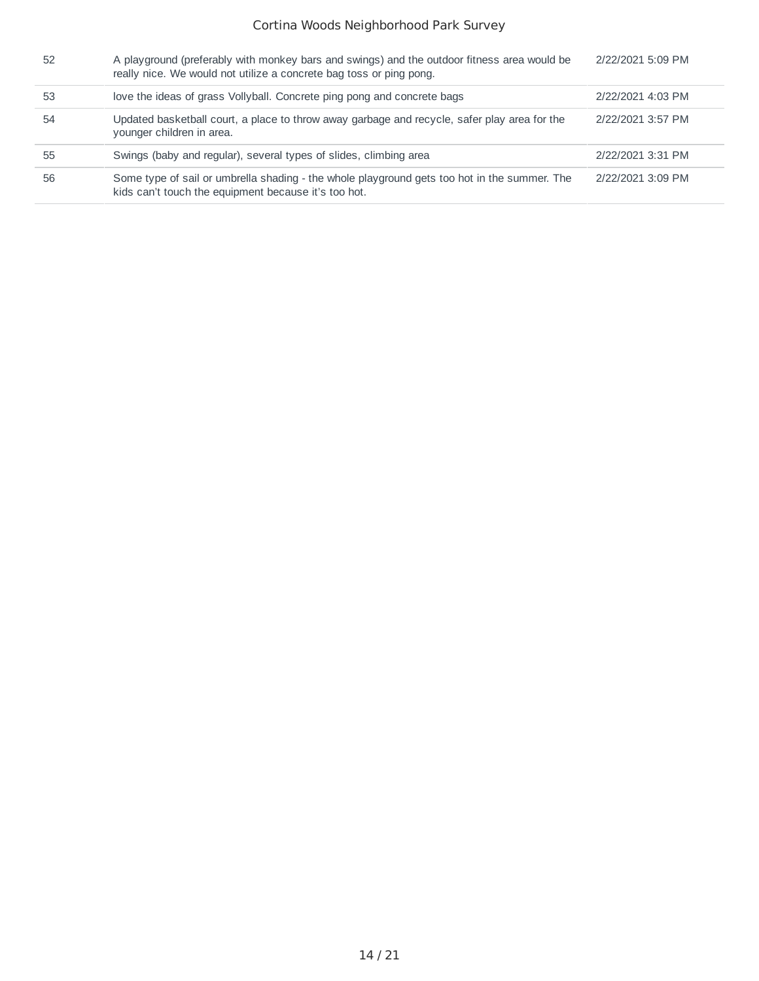| 52 | A playground (preferably with monkey bars and swings) and the outdoor fitness area would be<br>really nice. We would not utilize a concrete bag toss or ping pong. | 2/22/2021 5:09 PM |
|----|--------------------------------------------------------------------------------------------------------------------------------------------------------------------|-------------------|
| 53 | love the ideas of grass Vollyball. Concrete ping pong and concrete bags                                                                                            | 2/22/2021 4:03 PM |
| 54 | Updated basketball court, a place to throw away garbage and recycle, safer play area for the<br>younger children in area.                                          | 2/22/2021 3:57 PM |
| 55 | Swings (baby and regular), several types of slides, climbing area                                                                                                  | 2/22/2021 3:31 PM |
| 56 | Some type of sail or umbrella shading - the whole playground gets too hot in the summer. The<br>kids can't touch the equipment because it's too hot.               | 2/22/2021 3:09 PM |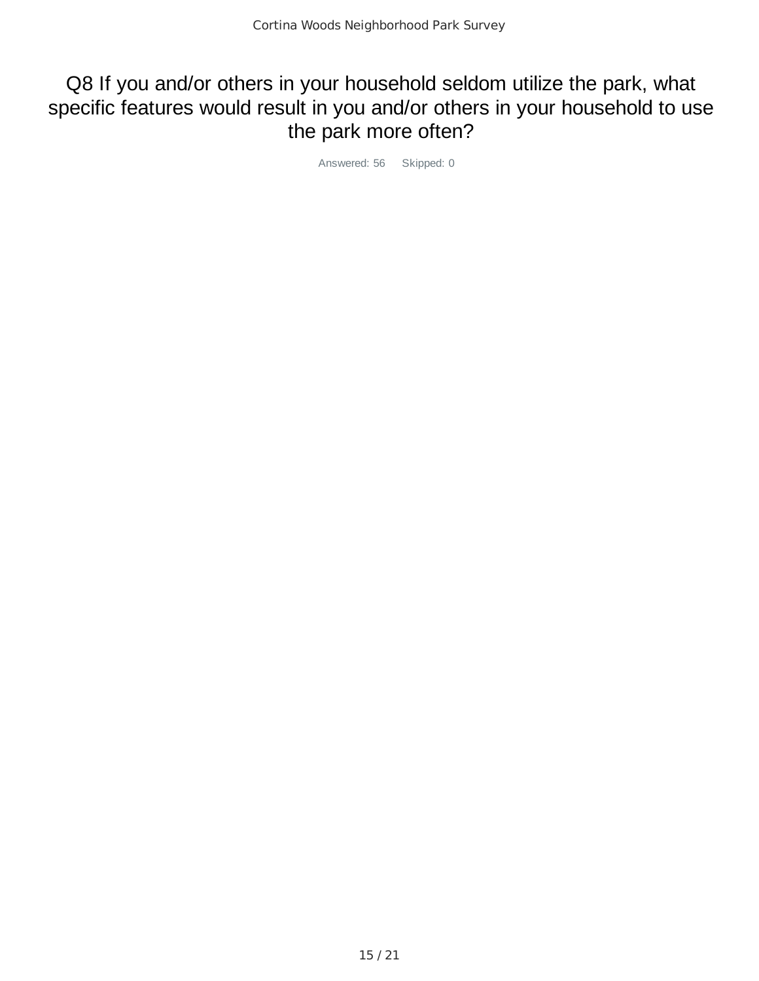## Q8 If you and/or others in your household seldom utilize the park, what specific features would result in you and/or others in your household to use the park more often?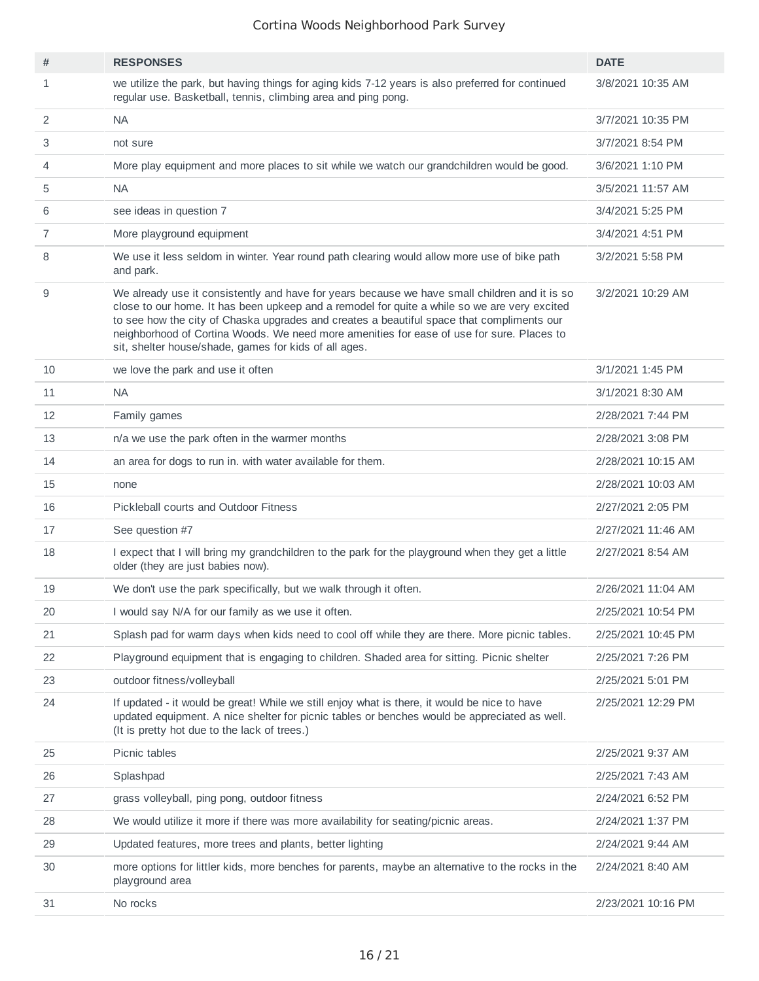| #              | <b>RESPONSES</b>                                                                                                                                                                                                                                                                                                                                                                                                                                 | <b>DATE</b>        |
|----------------|--------------------------------------------------------------------------------------------------------------------------------------------------------------------------------------------------------------------------------------------------------------------------------------------------------------------------------------------------------------------------------------------------------------------------------------------------|--------------------|
| $\mathbf{1}$   | we utilize the park, but having things for aging kids 7-12 years is also preferred for continued<br>regular use. Basketball, tennis, climbing area and ping pong.                                                                                                                                                                                                                                                                                | 3/8/2021 10:35 AM  |
| $\overline{2}$ | <b>NA</b>                                                                                                                                                                                                                                                                                                                                                                                                                                        | 3/7/2021 10:35 PM  |
| 3              | not sure                                                                                                                                                                                                                                                                                                                                                                                                                                         | 3/7/2021 8:54 PM   |
| 4              | More play equipment and more places to sit while we watch our grandchildren would be good.                                                                                                                                                                                                                                                                                                                                                       | 3/6/2021 1:10 PM   |
| 5              | <b>NA</b>                                                                                                                                                                                                                                                                                                                                                                                                                                        | 3/5/2021 11:57 AM  |
| 6              | see ideas in question 7                                                                                                                                                                                                                                                                                                                                                                                                                          | 3/4/2021 5:25 PM   |
| $\overline{7}$ | More playground equipment                                                                                                                                                                                                                                                                                                                                                                                                                        | 3/4/2021 4:51 PM   |
| 8              | We use it less seldom in winter. Year round path clearing would allow more use of bike path<br>and park.                                                                                                                                                                                                                                                                                                                                         | 3/2/2021 5:58 PM   |
| 9              | We already use it consistently and have for years because we have small children and it is so<br>close to our home. It has been upkeep and a remodel for quite a while so we are very excited<br>to see how the city of Chaska upgrades and creates a beautiful space that compliments our<br>neighborhood of Cortina Woods. We need more amenities for ease of use for sure. Places to<br>sit, shelter house/shade, games for kids of all ages. | 3/2/2021 10:29 AM  |
| 10             | we love the park and use it often                                                                                                                                                                                                                                                                                                                                                                                                                | 3/1/2021 1:45 PM   |
| 11             | NA.                                                                                                                                                                                                                                                                                                                                                                                                                                              | 3/1/2021 8:30 AM   |
| 12             | Family games                                                                                                                                                                                                                                                                                                                                                                                                                                     | 2/28/2021 7:44 PM  |
| 13             | n/a we use the park often in the warmer months                                                                                                                                                                                                                                                                                                                                                                                                   | 2/28/2021 3:08 PM  |
| 14             | an area for dogs to run in. with water available for them.                                                                                                                                                                                                                                                                                                                                                                                       | 2/28/2021 10:15 AM |
| 15             | none                                                                                                                                                                                                                                                                                                                                                                                                                                             | 2/28/2021 10:03 AM |
| 16             | Pickleball courts and Outdoor Fitness                                                                                                                                                                                                                                                                                                                                                                                                            | 2/27/2021 2:05 PM  |
| 17             | See question #7                                                                                                                                                                                                                                                                                                                                                                                                                                  | 2/27/2021 11:46 AM |
| 18             | I expect that I will bring my grandchildren to the park for the playground when they get a little<br>older (they are just babies now).                                                                                                                                                                                                                                                                                                           | 2/27/2021 8:54 AM  |
| 19             | We don't use the park specifically, but we walk through it often.                                                                                                                                                                                                                                                                                                                                                                                | 2/26/2021 11:04 AM |
| 20             | I would say N/A for our family as we use it often.                                                                                                                                                                                                                                                                                                                                                                                               | 2/25/2021 10:54 PM |
| 21             | Splash pad for warm days when kids need to cool off while they are there. More picnic tables.                                                                                                                                                                                                                                                                                                                                                    | 2/25/2021 10:45 PM |
| 22             | Playground equipment that is engaging to children. Shaded area for sitting. Picnic shelter                                                                                                                                                                                                                                                                                                                                                       | 2/25/2021 7:26 PM  |
| 23             | outdoor fitness/volleyball                                                                                                                                                                                                                                                                                                                                                                                                                       | 2/25/2021 5:01 PM  |
| 24             | If updated - it would be great! While we still enjoy what is there, it would be nice to have<br>updated equipment. A nice shelter for picnic tables or benches would be appreciated as well.<br>(It is pretty hot due to the lack of trees.)                                                                                                                                                                                                     | 2/25/2021 12:29 PM |
| 25             | Picnic tables                                                                                                                                                                                                                                                                                                                                                                                                                                    | 2/25/2021 9:37 AM  |
| 26             | Splashpad                                                                                                                                                                                                                                                                                                                                                                                                                                        | 2/25/2021 7:43 AM  |
| 27             | grass volleyball, ping pong, outdoor fitness                                                                                                                                                                                                                                                                                                                                                                                                     | 2/24/2021 6:52 PM  |
| 28             | We would utilize it more if there was more availability for seating/picnic areas.                                                                                                                                                                                                                                                                                                                                                                | 2/24/2021 1:37 PM  |
| 29             | Updated features, more trees and plants, better lighting                                                                                                                                                                                                                                                                                                                                                                                         | 2/24/2021 9:44 AM  |
| 30             | more options for littler kids, more benches for parents, maybe an alternative to the rocks in the<br>playground area                                                                                                                                                                                                                                                                                                                             | 2/24/2021 8:40 AM  |
| 31             | No rocks                                                                                                                                                                                                                                                                                                                                                                                                                                         | 2/23/2021 10:16 PM |
|                |                                                                                                                                                                                                                                                                                                                                                                                                                                                  |                    |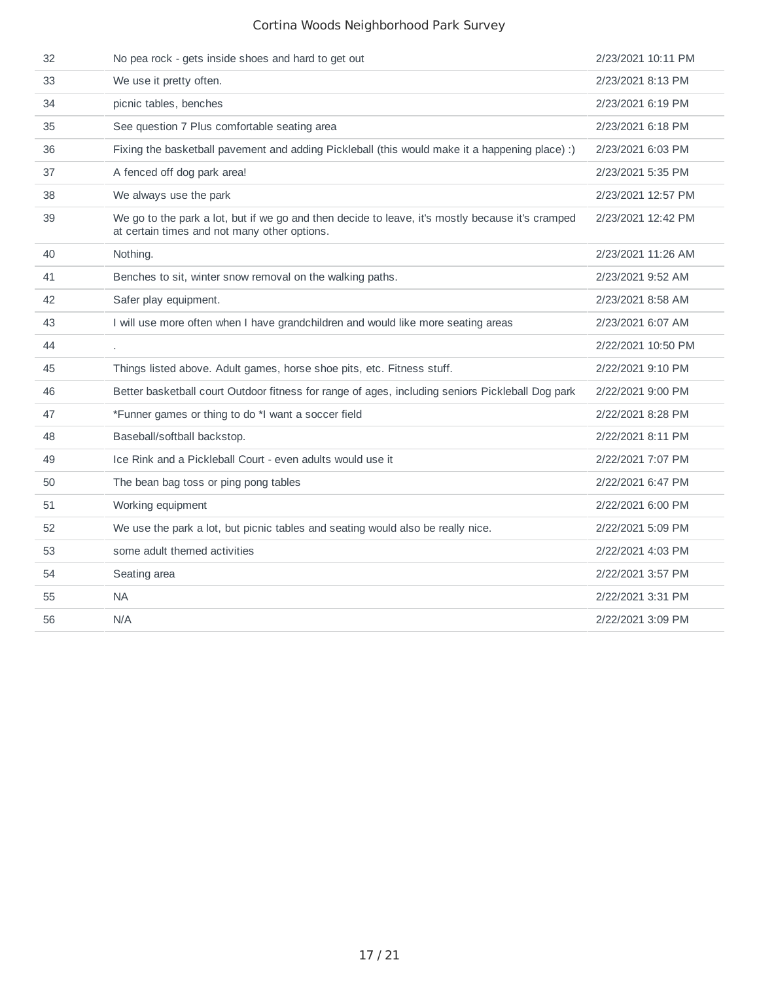| 32 | No pea rock - gets inside shoes and hard to get out                                                                                              | 2/23/2021 10:11 PM |
|----|--------------------------------------------------------------------------------------------------------------------------------------------------|--------------------|
| 33 | We use it pretty often.                                                                                                                          | 2/23/2021 8:13 PM  |
| 34 | picnic tables, benches                                                                                                                           | 2/23/2021 6:19 PM  |
| 35 | See question 7 Plus comfortable seating area                                                                                                     | 2/23/2021 6:18 PM  |
| 36 | Fixing the basketball pavement and adding Pickleball (this would make it a happening place) :)                                                   | 2/23/2021 6:03 PM  |
| 37 | A fenced off dog park area!                                                                                                                      | 2/23/2021 5:35 PM  |
| 38 | We always use the park                                                                                                                           | 2/23/2021 12:57 PM |
| 39 | We go to the park a lot, but if we go and then decide to leave, it's mostly because it's cramped<br>at certain times and not many other options. | 2/23/2021 12:42 PM |
| 40 | Nothing.                                                                                                                                         | 2/23/2021 11:26 AM |
| 41 | Benches to sit, winter snow removal on the walking paths.                                                                                        | 2/23/2021 9:52 AM  |
| 42 | Safer play equipment.                                                                                                                            | 2/23/2021 8:58 AM  |
| 43 | I will use more often when I have grandchildren and would like more seating areas                                                                | 2/23/2021 6:07 AM  |
| 44 |                                                                                                                                                  | 2/22/2021 10:50 PM |
| 45 | Things listed above. Adult games, horse shoe pits, etc. Fitness stuff.                                                                           | 2/22/2021 9:10 PM  |
|    |                                                                                                                                                  |                    |
| 46 | Better basketball court Outdoor fitness for range of ages, including seniors Pickleball Dog park                                                 | 2/22/2021 9:00 PM  |
| 47 | *Funner games or thing to do *I want a soccer field                                                                                              | 2/22/2021 8:28 PM  |
| 48 | Baseball/softball backstop.                                                                                                                      | 2/22/2021 8:11 PM  |
| 49 | Ice Rink and a Pickleball Court - even adults would use it                                                                                       | 2/22/2021 7:07 PM  |
| 50 | The bean bag toss or ping pong tables                                                                                                            | 2/22/2021 6:47 PM  |
| 51 | Working equipment                                                                                                                                | 2/22/2021 6:00 PM  |
| 52 | We use the park a lot, but picnic tables and seating would also be really nice.                                                                  | 2/22/2021 5:09 PM  |
| 53 | some adult themed activities                                                                                                                     | 2/22/2021 4:03 PM  |
| 54 | Seating area                                                                                                                                     | 2/22/2021 3:57 PM  |
| 55 | <b>NA</b>                                                                                                                                        | 2/22/2021 3:31 PM  |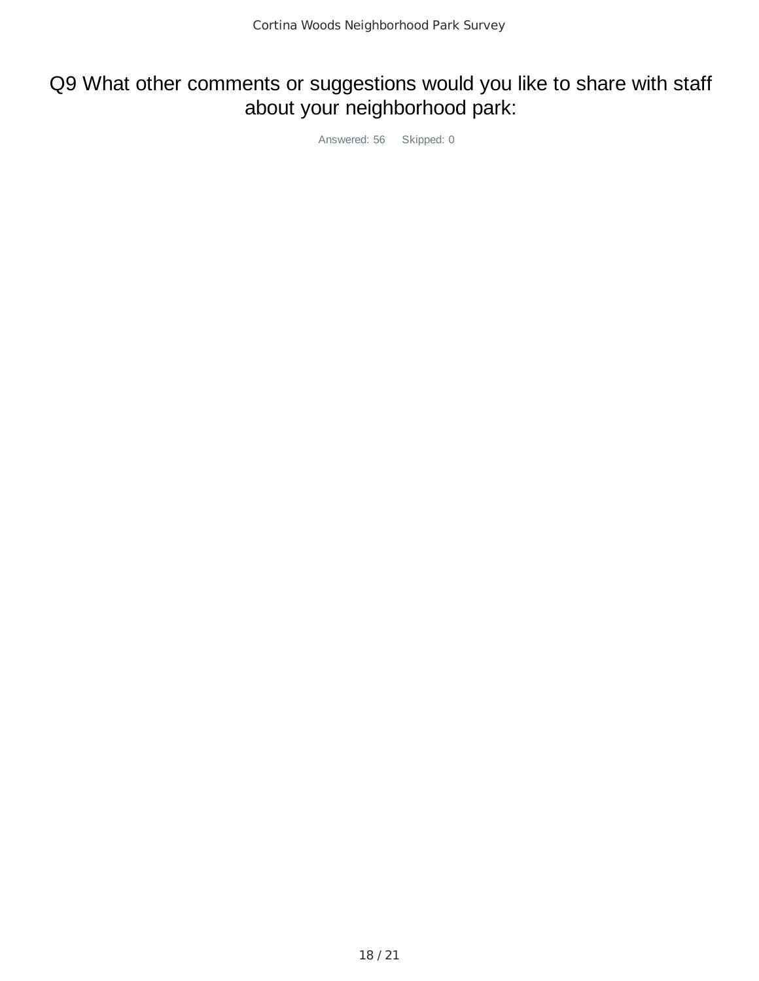# Q9 What other comments or suggestions would you like to share with staff about your neighborhood park: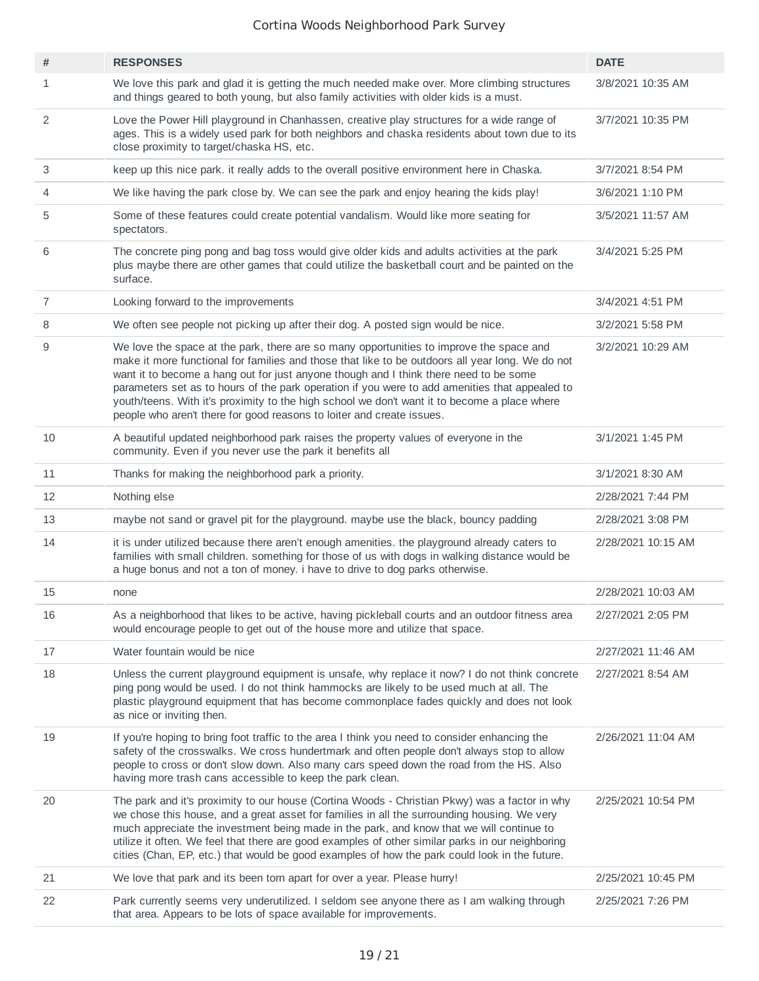| #              | <b>RESPONSES</b>                                                                                                                                                                                                                                                                                                                                                                                                                                                                                                                                                | <b>DATE</b>        |
|----------------|-----------------------------------------------------------------------------------------------------------------------------------------------------------------------------------------------------------------------------------------------------------------------------------------------------------------------------------------------------------------------------------------------------------------------------------------------------------------------------------------------------------------------------------------------------------------|--------------------|
| 1              | We love this park and glad it is getting the much needed make over. More climbing structures<br>and things geared to both young, but also family activities with older kids is a must.                                                                                                                                                                                                                                                                                                                                                                          | 3/8/2021 10:35 AM  |
| 2              | Love the Power Hill playground in Chanhassen, creative play structures for a wide range of<br>ages. This is a widely used park for both neighbors and chaska residents about town due to its<br>close proximity to target/chaska HS, etc.                                                                                                                                                                                                                                                                                                                       | 3/7/2021 10:35 PM  |
| 3              | keep up this nice park. it really adds to the overall positive environment here in Chaska.                                                                                                                                                                                                                                                                                                                                                                                                                                                                      | 3/7/2021 8:54 PM   |
| 4              | We like having the park close by. We can see the park and enjoy hearing the kids play!                                                                                                                                                                                                                                                                                                                                                                                                                                                                          | 3/6/2021 1:10 PM   |
| 5              | Some of these features could create potential vandalism. Would like more seating for<br>spectators.                                                                                                                                                                                                                                                                                                                                                                                                                                                             | 3/5/2021 11:57 AM  |
| 6              | The concrete ping pong and bag toss would give older kids and adults activities at the park<br>plus maybe there are other games that could utilize the basketball court and be painted on the<br>surface.                                                                                                                                                                                                                                                                                                                                                       | 3/4/2021 5:25 PM   |
| $\overline{7}$ | Looking forward to the improvements                                                                                                                                                                                                                                                                                                                                                                                                                                                                                                                             | 3/4/2021 4:51 PM   |
| 8              | We often see people not picking up after their dog. A posted sign would be nice.                                                                                                                                                                                                                                                                                                                                                                                                                                                                                | 3/2/2021 5:58 PM   |
| 9              | We love the space at the park, there are so many opportunities to improve the space and<br>make it more functional for families and those that like to be outdoors all year long. We do not<br>want it to become a hang out for just anyone though and I think there need to be some<br>parameters set as to hours of the park operation if you were to add amenities that appealed to<br>youth/teens. With it's proximity to the high school we don't want it to become a place where<br>people who aren't there for good reasons to loiter and create issues. | 3/2/2021 10:29 AM  |
| 10             | A beautiful updated neighborhood park raises the property values of everyone in the<br>community. Even if you never use the park it benefits all                                                                                                                                                                                                                                                                                                                                                                                                                | 3/1/2021 1:45 PM   |
| 11             | Thanks for making the neighborhood park a priority.                                                                                                                                                                                                                                                                                                                                                                                                                                                                                                             | 3/1/2021 8:30 AM   |
| 12             | Nothing else                                                                                                                                                                                                                                                                                                                                                                                                                                                                                                                                                    | 2/28/2021 7:44 PM  |
| 13             | maybe not sand or gravel pit for the playground. maybe use the black, bouncy padding                                                                                                                                                                                                                                                                                                                                                                                                                                                                            | 2/28/2021 3:08 PM  |
| 14             | it is under utilized because there aren't enough amenities. the playground already caters to<br>families with small children. something for those of us with dogs in walking distance would be<br>a huge bonus and not a ton of money. i have to drive to dog parks otherwise.                                                                                                                                                                                                                                                                                  | 2/28/2021 10:15 AM |
| 15             | none                                                                                                                                                                                                                                                                                                                                                                                                                                                                                                                                                            | 2/28/2021 10:03 AM |
| 16             | As a neighborhood that likes to be active, having pickleball courts and an outdoor fitness area<br>would encourage people to get out of the house more and utilize that space.                                                                                                                                                                                                                                                                                                                                                                                  | 2/27/2021 2:05 PM  |
| 17             | Water fountain would be nice                                                                                                                                                                                                                                                                                                                                                                                                                                                                                                                                    | 2/27/2021 11:46 AM |
| 18             | Unless the current playground equipment is unsafe, why replace it now? I do not think concrete<br>ping pong would be used. I do not think hammocks are likely to be used much at all. The<br>plastic playground equipment that has become commonplace fades quickly and does not look<br>as nice or inviting then.                                                                                                                                                                                                                                              | 2/27/2021 8:54 AM  |
| 19             | If you're hoping to bring foot traffic to the area I think you need to consider enhancing the<br>safety of the crosswalks. We cross hundertmark and often people don't always stop to allow<br>people to cross or don't slow down. Also many cars speed down the road from the HS. Also<br>having more trash cans accessible to keep the park clean.                                                                                                                                                                                                            | 2/26/2021 11:04 AM |
| 20             | The park and it's proximity to our house (Cortina Woods - Christian Pkwy) was a factor in why<br>we chose this house, and a great asset for families in all the surrounding housing. We very<br>much appreciate the investment being made in the park, and know that we will continue to<br>utilize it often. We feel that there are good examples of other similar parks in our neighboring<br>cities (Chan, EP, etc.) that would be good examples of how the park could look in the future.                                                                   | 2/25/2021 10:54 PM |
| 21             | We love that park and its been torn apart for over a year. Please hurry!                                                                                                                                                                                                                                                                                                                                                                                                                                                                                        | 2/25/2021 10:45 PM |
| 22             | Park currently seems very underutilized. I seldom see anyone there as I am walking through<br>that area. Appears to be lots of space available for improvements.                                                                                                                                                                                                                                                                                                                                                                                                | 2/25/2021 7:26 PM  |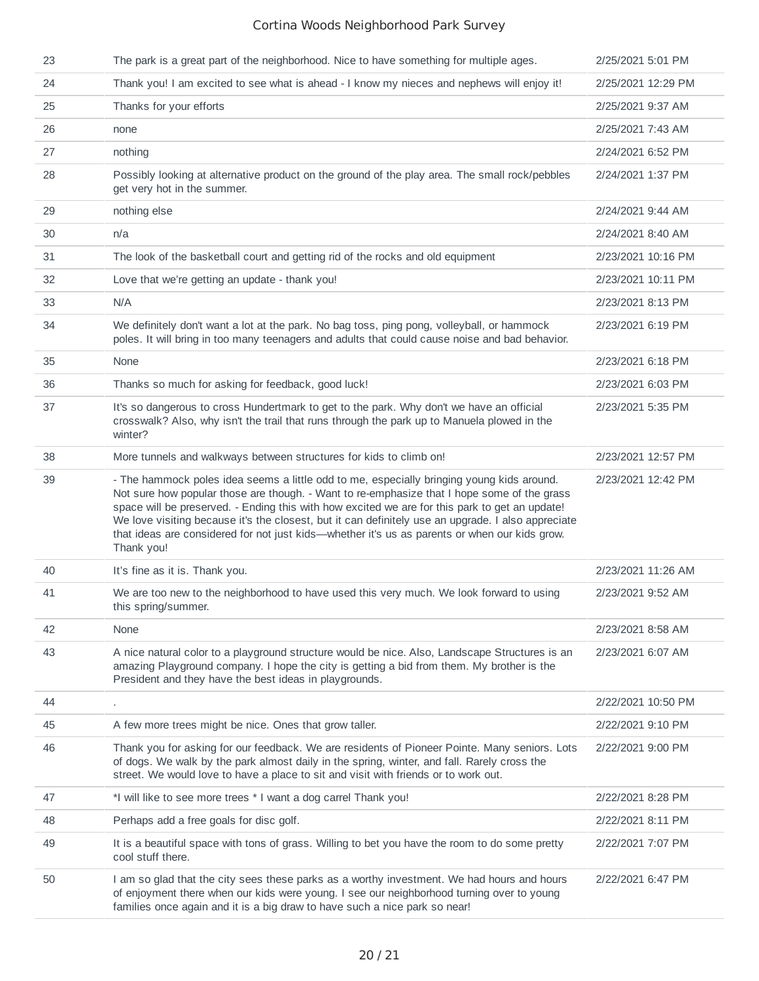| 23 | The park is a great part of the neighborhood. Nice to have something for multiple ages.                                                                                                                                                                                                                                                                                                                                                                                                                         | 2/25/2021 5:01 PM  |
|----|-----------------------------------------------------------------------------------------------------------------------------------------------------------------------------------------------------------------------------------------------------------------------------------------------------------------------------------------------------------------------------------------------------------------------------------------------------------------------------------------------------------------|--------------------|
| 24 | Thank you! I am excited to see what is ahead - I know my nieces and nephews will enjoy it!                                                                                                                                                                                                                                                                                                                                                                                                                      | 2/25/2021 12:29 PM |
| 25 | Thanks for your efforts                                                                                                                                                                                                                                                                                                                                                                                                                                                                                         | 2/25/2021 9:37 AM  |
| 26 | none                                                                                                                                                                                                                                                                                                                                                                                                                                                                                                            | 2/25/2021 7:43 AM  |
| 27 | nothing                                                                                                                                                                                                                                                                                                                                                                                                                                                                                                         | 2/24/2021 6:52 PM  |
| 28 | Possibly looking at alternative product on the ground of the play area. The small rock/pebbles<br>get very hot in the summer.                                                                                                                                                                                                                                                                                                                                                                                   | 2/24/2021 1:37 PM  |
| 29 | nothing else                                                                                                                                                                                                                                                                                                                                                                                                                                                                                                    | 2/24/2021 9:44 AM  |
| 30 | n/a                                                                                                                                                                                                                                                                                                                                                                                                                                                                                                             | 2/24/2021 8:40 AM  |
| 31 | The look of the basketball court and getting rid of the rocks and old equipment                                                                                                                                                                                                                                                                                                                                                                                                                                 | 2/23/2021 10:16 PM |
| 32 | Love that we're getting an update - thank you!                                                                                                                                                                                                                                                                                                                                                                                                                                                                  | 2/23/2021 10:11 PM |
| 33 | N/A                                                                                                                                                                                                                                                                                                                                                                                                                                                                                                             | 2/23/2021 8:13 PM  |
| 34 | We definitely don't want a lot at the park. No bag toss, ping pong, volleyball, or hammock<br>poles. It will bring in too many teenagers and adults that could cause noise and bad behavior.                                                                                                                                                                                                                                                                                                                    | 2/23/2021 6:19 PM  |
| 35 | None                                                                                                                                                                                                                                                                                                                                                                                                                                                                                                            | 2/23/2021 6:18 PM  |
| 36 | Thanks so much for asking for feedback, good luck!                                                                                                                                                                                                                                                                                                                                                                                                                                                              | 2/23/2021 6:03 PM  |
| 37 | It's so dangerous to cross Hundertmark to get to the park. Why don't we have an official<br>crosswalk? Also, why isn't the trail that runs through the park up to Manuela plowed in the<br>winter?                                                                                                                                                                                                                                                                                                              | 2/23/2021 5:35 PM  |
| 38 | More tunnels and walkways between structures for kids to climb on!                                                                                                                                                                                                                                                                                                                                                                                                                                              | 2/23/2021 12:57 PM |
| 39 | - The hammock poles idea seems a little odd to me, especially bringing young kids around.<br>Not sure how popular those are though. - Want to re-emphasize that I hope some of the grass<br>space will be preserved. - Ending this with how excited we are for this park to get an update!<br>We love visiting because it's the closest, but it can definitely use an upgrade. I also appreciate<br>that ideas are considered for not just kids—whether it's us as parents or when our kids grow.<br>Thank you! | 2/23/2021 12:42 PM |
| 40 | It's fine as it is. Thank you.                                                                                                                                                                                                                                                                                                                                                                                                                                                                                  | 2/23/2021 11:26 AM |
| 41 | We are too new to the neighborhood to have used this very much. We look forward to using<br>this spring/summer.                                                                                                                                                                                                                                                                                                                                                                                                 | 2/23/2021 9:52 AM  |
| 42 | None                                                                                                                                                                                                                                                                                                                                                                                                                                                                                                            | 2/23/2021 8:58 AM  |
| 43 | A nice natural color to a playground structure would be nice. Also, Landscape Structures is an<br>amazing Playground company. I hope the city is getting a bid from them. My brother is the<br>President and they have the best ideas in playgrounds.                                                                                                                                                                                                                                                           | 2/23/2021 6:07 AM  |
| 44 |                                                                                                                                                                                                                                                                                                                                                                                                                                                                                                                 | 2/22/2021 10:50 PM |
| 45 | A few more trees might be nice. Ones that grow taller.                                                                                                                                                                                                                                                                                                                                                                                                                                                          | 2/22/2021 9:10 PM  |
| 46 | Thank you for asking for our feedback. We are residents of Pioneer Pointe. Many seniors. Lots<br>of dogs. We walk by the park almost daily in the spring, winter, and fall. Rarely cross the<br>street. We would love to have a place to sit and visit with friends or to work out.                                                                                                                                                                                                                             | 2/22/2021 9:00 PM  |
| 47 | *I will like to see more trees * I want a dog carrel Thank you!                                                                                                                                                                                                                                                                                                                                                                                                                                                 | 2/22/2021 8:28 PM  |
| 48 | Perhaps add a free goals for disc golf.                                                                                                                                                                                                                                                                                                                                                                                                                                                                         | 2/22/2021 8:11 PM  |
| 49 | It is a beautiful space with tons of grass. Willing to bet you have the room to do some pretty<br>cool stuff there.                                                                                                                                                                                                                                                                                                                                                                                             | 2/22/2021 7:07 PM  |
| 50 | I am so glad that the city sees these parks as a worthy investment. We had hours and hours<br>of enjoyment there when our kids were young. I see our neighborhood turning over to young<br>families once again and it is a big draw to have such a nice park so near!                                                                                                                                                                                                                                           | 2/22/2021 6:47 PM  |